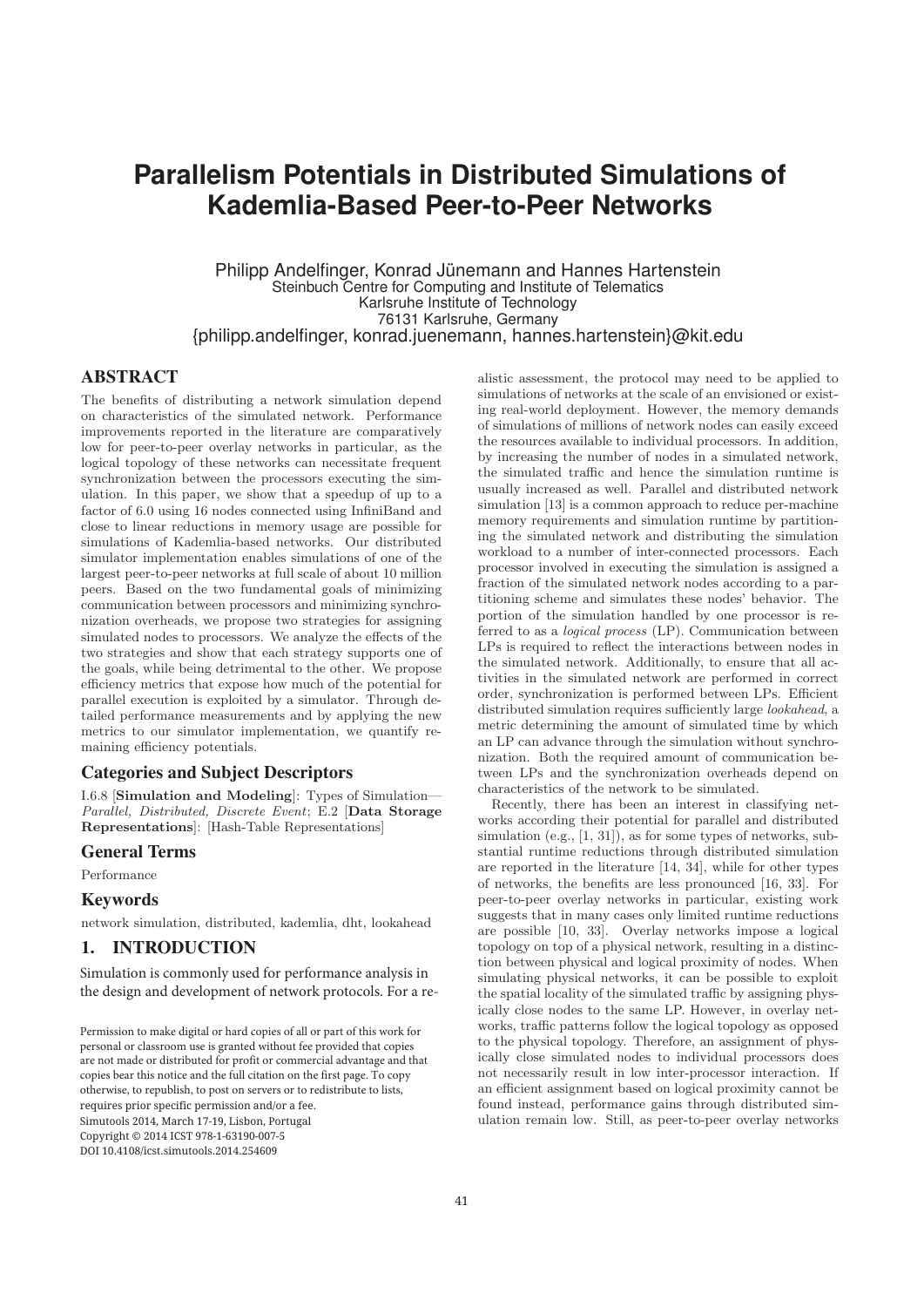# **Parallelism Potentials in Distributed Simulations of Kademlia-Based Peer-to-Peer Networks**

Philipp Andelfinger, Konrad Jünemann and Hannes Hartenstein Steinbuch Centre for Computing and Institute of Telematics Karlsruhe Institute of Technology 76131 Karlsruhe, Germany {philipp.andelfinger, konrad.juenemann, hannes.hartenstein}@kit.edu

## ABSTRACT

The benefits of distributing a network simulation depend on characteristics of the simulated network. Performance improvements reported in the literature are comparatively low for peer-to-peer overlay networks in particular, as the logical topology of these networks can necessitate frequent synchronization between the processors executing the simulation. In this paper, we show that a speedup of up to a factor of 6.0 using 16 nodes connected using InfiniBand and close to linear reductions in memory usage are possible for simulations of Kademlia-based networks. Our distributed simulator implementation enables simulations of one of the largest peer-to-peer networks at full scale of about 10 million peers. Based on the two fundamental goals of minimizing communication between processors and minimizing synchronization overheads, we propose two strategies for assigning simulated nodes to processors. We analyze the effects of the two strategies and show that each strategy supports one of the goals, while being detrimental to the other. We propose efficiency metrics that expose how much of the potential for parallel execution is exploited by a simulator. Through detailed performance measurements and by applying the new metrics to our simulator implementation, we quantify remaining efficiency potentials.

### Categories and Subject Descriptors

I.6.8 [**Simulation and Modeling**]: Types of Simulation— Parallel, Distributed, Discrete Event; E.2 [**Data Storage Representations**]: [Hash-Table Representations]

#### General Terms

Performance

#### Keywords

network simulation, distributed, kademlia, dht, lookahead

## 1. INTRODUCTION

Simulation is commonly used for performance analysis in the design and development of network protocols. For a re-

requires prior specific permission and/or a fee. Simutools 2014, March 17-19, Lisbon, Portugal  $\emph{Copyright} \odot$  2014 ICST 978-1-63190-007-5 berp, regard to a contract the full citation on the full citation on the first page. To contract page. To contract page. To contract page. To contract page. To contract page. To contract page. To contract page. To contract  $\frac{1}{2}$ Permission to make digital or hard copies of all or part of this work for personal or classroom use is granted without fee provided that copies are not made or distributed for profit or commercial advantage and that copies bear this notice and the full citation on the first page. To copy otherwise, to republish, to post on servers or to redistribute to lists,

alistic assessment, the protocol may need to be applied to simulations of networks at the scale of an envisioned or existing real-world deployment. However, the memory demands of simulations of millions of network nodes can easily exceed the resources available to individual processors. In addition, by increasing the number of nodes in a simulated network, the simulated traffic and hence the simulation runtime is usually increased as well. Parallel and distributed network simulation [13] is a common approach to reduce per-machine memory requirements and simulation runtime by partitioning the simulated network and distributing the simulation workload to a number of inter-connected processors. Each processor involved in executing the simulation is assigned a fraction of the simulated network nodes according to a partitioning scheme and simulates these nodes' behavior. The portion of the simulation handled by one processor is referred to as a logical process (LP). Communication between LPs is required to reflect the interactions between nodes in the simulated network. Additionally, to ensure that all activities in the simulated network are performed in correct order, synchronization is performed between LPs. Efficient distributed simulation requires sufficiently large lookahead, a metric determining the amount of simulated time by which an LP can advance through the simulation without synchronization. Both the required amount of communication between LPs and the synchronization overheads depend on characteristics of the network to be simulated.

Recently, there has been an interest in classifying networks according their potential for parallel and distributed simulation (e.g., [1, 31]), as for some types of networks, substantial runtime reductions through distributed simulation are reported in the literature [14, 34], while for other types of networks, the benefits are less pronounced [16, 33]. For peer-to-peer overlay networks in particular, existing work suggests that in many cases only limited runtime reductions are possible [10, 33]. Overlay networks impose a logical topology on top of a physical network, resulting in a distinction between physical and logical proximity of nodes. When simulating physical networks, it can be possible to exploit the spatial locality of the simulated traffic by assigning physically close nodes to the same LP. However, in overlay networks, traffic patterns follow the logical topology as opposed to the physical topology. Therefore, an assignment of physically close simulated nodes to individual processors does not necessarily result in low inter-processor interaction. If an efficient assignment based on logical proximity cannot be found instead, performance gains through distributed simulation remain low. Still, as peer-to-peer overlay networks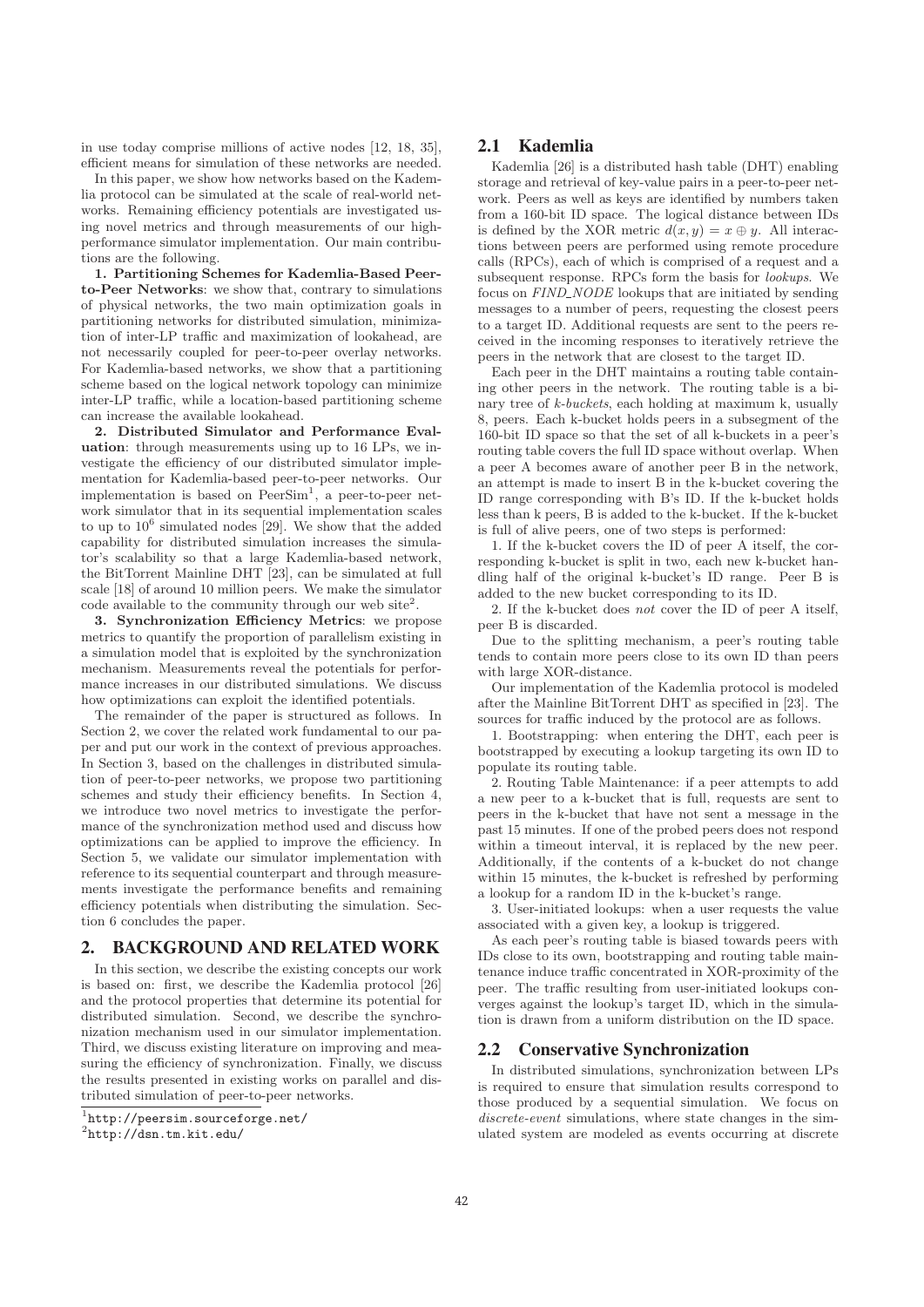in use today comprise millions of active nodes [12, 18, 35], efficient means for simulation of these networks are needed.

In this paper, we show how networks based on the Kademlia protocol can be simulated at the scale of real-world networks. Remaining efficiency potentials are investigated using novel metrics and through measurements of our highperformance simulator implementation. Our main contributions are the following.

**1. Partitioning Schemes for Kademlia-Based Peerto-Peer Networks**: we show that, contrary to simulations of physical networks, the two main optimization goals in partitioning networks for distributed simulation, minimization of inter-LP traffic and maximization of lookahead, are not necessarily coupled for peer-to-peer overlay networks. For Kademlia-based networks, we show that a partitioning scheme based on the logical network topology can minimize inter-LP traffic, while a location-based partitioning scheme can increase the available lookahead.

**2. Distributed Simulator and Performance Evaluation**: through measurements using up to 16 LPs, we investigate the efficiency of our distributed simulator implementation for Kademlia-based peer-to-peer networks. Our implementation is based on  $PeerSim<sup>1</sup>$ , a peer-to-peer network simulator that in its sequential implementation scales to up to  $10^6$  simulated nodes [29]. We show that the added capability for distributed simulation increases the simulator's scalability so that a large Kademlia-based network, the BitTorrent Mainline DHT [23], can be simulated at full scale [18] of around 10 million peers. We make the simulator code available to the community through our web site<sup>2</sup>.

**3. Synchronization Efficiency Metrics**: we propose metrics to quantify the proportion of parallelism existing in a simulation model that is exploited by the synchronization mechanism. Measurements reveal the potentials for performance increases in our distributed simulations. We discuss how optimizations can exploit the identified potentials.

The remainder of the paper is structured as follows. In Section 2, we cover the related work fundamental to our paper and put our work in the context of previous approaches. In Section 3, based on the challenges in distributed simulation of peer-to-peer networks, we propose two partitioning schemes and study their efficiency benefits. In Section 4, we introduce two novel metrics to investigate the performance of the synchronization method used and discuss how optimizations can be applied to improve the efficiency. In Section 5, we validate our simulator implementation with reference to its sequential counterpart and through measurements investigate the performance benefits and remaining efficiency potentials when distributing the simulation. Section 6 concludes the paper.

#### 2. BACKGROUND AND RELATED WORK

In this section, we describe the existing concepts our work is based on: first, we describe the Kademlia protocol [26] and the protocol properties that determine its potential for distributed simulation. Second, we describe the synchronization mechanism used in our simulator implementation. Third, we discuss existing literature on improving and measuring the efficiency of synchronization. Finally, we discuss the results presented in existing works on parallel and distributed simulation of peer-to-peer networks.

## 2.1 Kademlia

Kademlia [26] is a distributed hash table (DHT) enabling storage and retrieval of key-value pairs in a peer-to-peer network. Peers as well as keys are identified by numbers taken from a 160-bit ID space. The logical distance between IDs is defined by the XOR metric  $d(x, y) = x \oplus y$ . All interactions between peers are performed using remote procedure calls (RPCs), each of which is comprised of a request and a subsequent response. RPCs form the basis for lookups. We focus on FIND\_NODE lookups that are initiated by sending messages to a number of peers, requesting the closest peers to a target ID. Additional requests are sent to the peers received in the incoming responses to iteratively retrieve the peers in the network that are closest to the target ID.

Each peer in the DHT maintains a routing table containing other peers in the network. The routing table is a binary tree of k-buckets, each holding at maximum k, usually 8, peers. Each k-bucket holds peers in a subsegment of the 160-bit ID space so that the set of all k-buckets in a peer's routing table covers the full ID space without overlap. When a peer A becomes aware of another peer B in the network, an attempt is made to insert B in the k-bucket covering the ID range corresponding with B's ID. If the k-bucket holds less than k peers, B is added to the k-bucket. If the k-bucket is full of alive peers, one of two steps is performed:

1. If the k-bucket covers the ID of peer A itself, the corresponding k-bucket is split in two, each new k-bucket handling half of the original k-bucket's ID range. Peer B is added to the new bucket corresponding to its ID.

2. If the k-bucket does not cover the ID of peer A itself, peer B is discarded.

Due to the splitting mechanism, a peer's routing table tends to contain more peers close to its own ID than peers with large XOR-distance.

Our implementation of the Kademlia protocol is modeled after the Mainline BitTorrent DHT as specified in [23]. The sources for traffic induced by the protocol are as follows.

1. Bootstrapping: when entering the DHT, each peer is bootstrapped by executing a lookup targeting its own ID to populate its routing table.

2. Routing Table Maintenance: if a peer attempts to add a new peer to a k-bucket that is full, requests are sent to peers in the k-bucket that have not sent a message in the past 15 minutes. If one of the probed peers does not respond within a timeout interval, it is replaced by the new peer. Additionally, if the contents of a k-bucket do not change within 15 minutes, the k-bucket is refreshed by performing a lookup for a random ID in the k-bucket's range.

3. User-initiated lookups: when a user requests the value associated with a given key, a lookup is triggered.

As each peer's routing table is biased towards peers with IDs close to its own, bootstrapping and routing table maintenance induce traffic concentrated in XOR-proximity of the peer. The traffic resulting from user-initiated lookups converges against the lookup's target ID, which in the simulation is drawn from a uniform distribution on the ID space.

#### 2.2 Conservative Synchronization

In distributed simulations, synchronization between LPs is required to ensure that simulation results correspond to those produced by a sequential simulation. We focus on discrete-event simulations, where state changes in the simulated system are modeled as events occurring at discrete

<sup>&</sup>lt;sup>1</sup>http://peersim.sourceforge.net/

 $^{2}$ http://dsn.tm.kit.edu/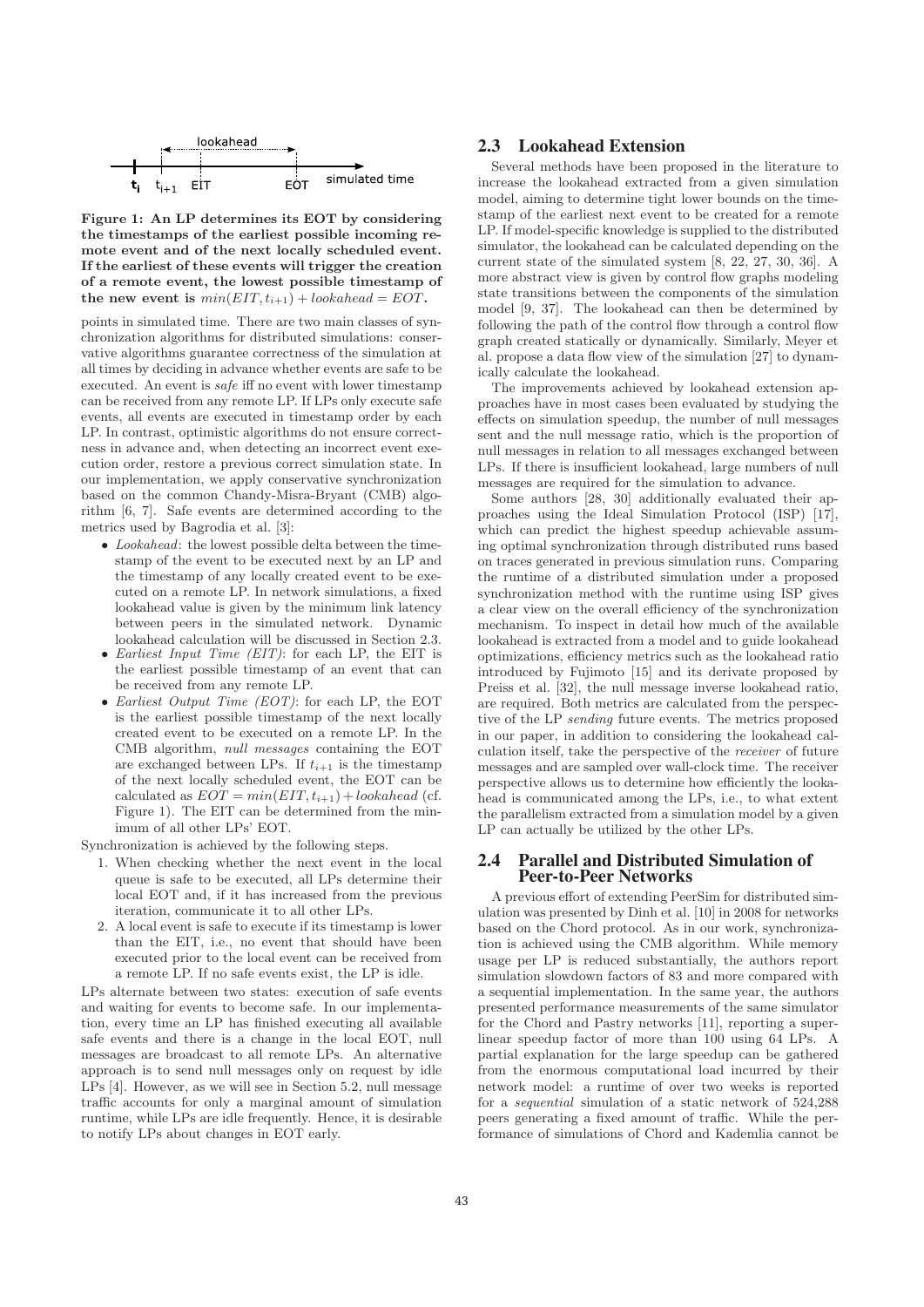

**Figure 1: An LP determines its EOT by considering the timestamps of the earliest possible incoming remote event and of the next locally scheduled event. If the earliest of these events will trigger the creation of a remote event, the lowest possible timestamp of** the new event is  $min(EIT, t_{i+1}) + look ahead = EOT$ .

points in simulated time. There are two main classes of synchronization algorithms for distributed simulations: conservative algorithms guarantee correctness of the simulation at all times by deciding in advance whether events are safe to be executed. An event is safe iff no event with lower timestamp can be received from any remote LP. If LPs only execute safe events, all events are executed in timestamp order by each LP. In contrast, optimistic algorithms do not ensure correctness in advance and, when detecting an incorrect event execution order, restore a previous correct simulation state. In our implementation, we apply conservative synchronization based on the common Chandy-Misra-Bryant (CMB) algorithm [6, 7]. Safe events are determined according to the metrics used by Bagrodia et al. [3]:

- Lookahead: the lowest possible delta between the timestamp of the event to be executed next by an LP and the timestamp of any locally created event to be executed on a remote LP. In network simulations, a fixed lookahead value is given by the minimum link latency between peers in the simulated network. Dynamic lookahead calculation will be discussed in Section 2.3.
- Earliest Input Time (EIT): for each LP, the EIT is the earliest possible timestamp of an event that can be received from any remote LP.
- Earliest Output Time (EOT): for each LP, the EOT is the earliest possible timestamp of the next locally created event to be executed on a remote LP. In the CMB algorithm, null messages containing the EOT are exchanged between LPs. If  $t_{i+1}$  is the timestamp of the next locally scheduled event, the EOT can be calculated as  $EOT = min(EIT, t_{i+1}) + look ahead$  (cf. Figure 1). The EIT can be determined from the minimum of all other LPs' EOT.

Synchronization is achieved by the following steps.

- 1. When checking whether the next event in the local queue is safe to be executed, all LPs determine their local EOT and, if it has increased from the previous iteration, communicate it to all other LPs.
- 2. A local event is safe to execute if its timestamp is lower than the EIT, i.e., no event that should have been executed prior to the local event can be received from a remote LP. If no safe events exist, the LP is idle.

LPs alternate between two states: execution of safe events and waiting for events to become safe. In our implementation, every time an LP has finished executing all available safe events and there is a change in the local EOT, null messages are broadcast to all remote LPs. An alternative approach is to send null messages only on request by idle LPs [4]. However, as we will see in Section 5.2, null message traffic accounts for only a marginal amount of simulation runtime, while LPs are idle frequently. Hence, it is desirable to notify LPs about changes in EOT early.

#### 2.3 Lookahead Extension

Several methods have been proposed in the literature to increase the lookahead extracted from a given simulation model, aiming to determine tight lower bounds on the timestamp of the earliest next event to be created for a remote LP. If model-specific knowledge is supplied to the distributed simulator, the lookahead can be calculated depending on the current state of the simulated system [8, 22, 27, 30, 36]. A more abstract view is given by control flow graphs modeling state transitions between the components of the simulation model [9, 37]. The lookahead can then be determined by following the path of the control flow through a control flow graph created statically or dynamically. Similarly, Meyer et al. propose a data flow view of the simulation [27] to dynamically calculate the lookahead.

The improvements achieved by lookahead extension approaches have in most cases been evaluated by studying the effects on simulation speedup, the number of null messages sent and the null message ratio, which is the proportion of null messages in relation to all messages exchanged between LPs. If there is insufficient lookahead, large numbers of null messages are required for the simulation to advance.

Some authors [28, 30] additionally evaluated their approaches using the Ideal Simulation Protocol (ISP) [17], which can predict the highest speedup achievable assuming optimal synchronization through distributed runs based on traces generated in previous simulation runs. Comparing the runtime of a distributed simulation under a proposed synchronization method with the runtime using ISP gives a clear view on the overall efficiency of the synchronization mechanism. To inspect in detail how much of the available lookahead is extracted from a model and to guide lookahead optimizations, efficiency metrics such as the lookahead ratio introduced by Fujimoto [15] and its derivate proposed by Preiss et al. [32], the null message inverse lookahead ratio, are required. Both metrics are calculated from the perspective of the LP sending future events. The metrics proposed in our paper, in addition to considering the lookahead calculation itself, take the perspective of the receiver of future messages and are sampled over wall-clock time. The receiver perspective allows us to determine how efficiently the lookahead is communicated among the LPs, i.e., to what extent the parallelism extracted from a simulation model by a given LP can actually be utilized by the other LPs.

#### 2.4 Parallel and Distributed Simulation of Peer-to-Peer Networks

A previous effort of extending PeerSim for distributed simulation was presented by Dinh et al. [10] in 2008 for networks based on the Chord protocol. As in our work, synchronization is achieved using the CMB algorithm. While memory usage per LP is reduced substantially, the authors report simulation slowdown factors of 83 and more compared with a sequential implementation. In the same year, the authors presented performance measurements of the same simulator for the Chord and Pastry networks [11], reporting a superlinear speedup factor of more than 100 using 64 LPs. A partial explanation for the large speedup can be gathered from the enormous computational load incurred by their network model: a runtime of over two weeks is reported for a sequential simulation of a static network of 524,288 peers generating a fixed amount of traffic. While the performance of simulations of Chord and Kademlia cannot be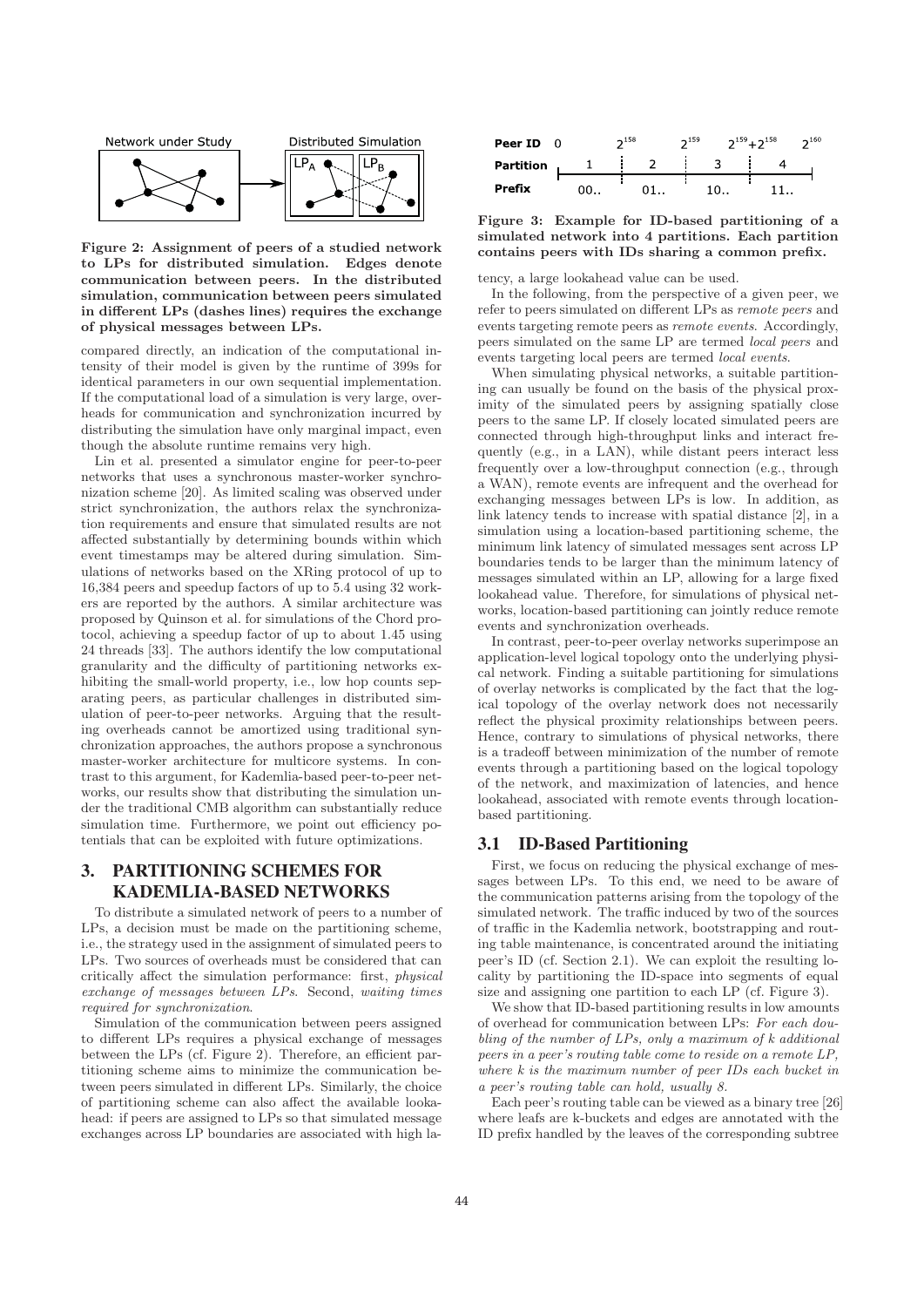

**Figure 2: Assignment of peers of a studied network to LPs for distributed simulation. Edges denote communication between peers. In the distributed simulation, communication between peers simulated in different LPs (dashes lines) requires the exchange of physical messages between LPs.**

compared directly, an indication of the computational intensity of their model is given by the runtime of 399s for identical parameters in our own sequential implementation. If the computational load of a simulation is very large, overheads for communication and synchronization incurred by distributing the simulation have only marginal impact, even though the absolute runtime remains very high.

Lin et al. presented a simulator engine for peer-to-peer networks that uses a synchronous master-worker synchronization scheme [20]. As limited scaling was observed under strict synchronization, the authors relax the synchronization requirements and ensure that simulated results are not affected substantially by determining bounds within which event timestamps may be altered during simulation. Simulations of networks based on the XRing protocol of up to 16,384 peers and speedup factors of up to 5.4 using 32 workers are reported by the authors. A similar architecture was proposed by Quinson et al. for simulations of the Chord protocol, achieving a speedup factor of up to about 1.45 using 24 threads [33]. The authors identify the low computational granularity and the difficulty of partitioning networks exhibiting the small-world property, i.e., low hop counts separating peers, as particular challenges in distributed simulation of peer-to-peer networks. Arguing that the resulting overheads cannot be amortized using traditional synchronization approaches, the authors propose a synchronous master-worker architecture for multicore systems. In contrast to this argument, for Kademlia-based peer-to-peer networks, our results show that distributing the simulation under the traditional CMB algorithm can substantially reduce simulation time. Furthermore, we point out efficiency potentials that can be exploited with future optimizations.

# 3. PARTITIONING SCHEMES FOR KADEMLIA-BASED NETWORKS

To distribute a simulated network of peers to a number of LPs, a decision must be made on the partitioning scheme, i.e., the strategy used in the assignment of simulated peers to LPs. Two sources of overheads must be considered that can critically affect the simulation performance: first, physical exchange of messages between LPs. Second, waiting times required for synchronization.

Simulation of the communication between peers assigned to different LPs requires a physical exchange of messages between the LPs (cf. Figure 2). Therefore, an efficient partitioning scheme aims to minimize the communication between peers simulated in different LPs. Similarly, the choice of partitioning scheme can also affect the available lookahead: if peers are assigned to LPs so that simulated message exchanges across LP boundaries are associated with high la-



**Figure 3: Example for ID-based partitioning of a simulated network into 4 partitions. Each partition contains peers with IDs sharing a common prefix.**

tency, a large lookahead value can be used.

In the following, from the perspective of a given peer, we refer to peers simulated on different LPs as remote peers and events targeting remote peers as remote events. Accordingly, peers simulated on the same LP are termed local peers and events targeting local peers are termed local events.

When simulating physical networks, a suitable partitioning can usually be found on the basis of the physical proximity of the simulated peers by assigning spatially close peers to the same LP. If closely located simulated peers are connected through high-throughput links and interact frequently (e.g., in a LAN), while distant peers interact less frequently over a low-throughput connection (e.g., through a WAN), remote events are infrequent and the overhead for exchanging messages between LPs is low. In addition, as link latency tends to increase with spatial distance [2], in a simulation using a location-based partitioning scheme, the minimum link latency of simulated messages sent across LP boundaries tends to be larger than the minimum latency of messages simulated within an LP, allowing for a large fixed lookahead value. Therefore, for simulations of physical networks, location-based partitioning can jointly reduce remote events and synchronization overheads.

In contrast, peer-to-peer overlay networks superimpose an application-level logical topology onto the underlying physical network. Finding a suitable partitioning for simulations of overlay networks is complicated by the fact that the logical topology of the overlay network does not necessarily reflect the physical proximity relationships between peers. Hence, contrary to simulations of physical networks, there is a tradeoff between minimization of the number of remote events through a partitioning based on the logical topology of the network, and maximization of latencies, and hence lookahead, associated with remote events through locationbased partitioning.

### 3.1 ID-Based Partitioning

First, we focus on reducing the physical exchange of messages between LPs. To this end, we need to be aware of the communication patterns arising from the topology of the simulated network. The traffic induced by two of the sources of traffic in the Kademlia network, bootstrapping and routing table maintenance, is concentrated around the initiating peer's ID (cf. Section 2.1). We can exploit the resulting locality by partitioning the ID-space into segments of equal size and assigning one partition to each LP (cf. Figure 3).

We show that ID-based partitioning results in low amounts of overhead for communication between LPs: For each doubling of the number of LPs, only a maximum of k additional peers in a peer's routing table come to reside on a remote LP, where k is the maximum number of peer IDs each bucket in a peer's routing table can hold, usually 8.

Each peer's routing table can be viewed as a binary tree [26] where leafs are k-buckets and edges are annotated with the ID prefix handled by the leaves of the corresponding subtree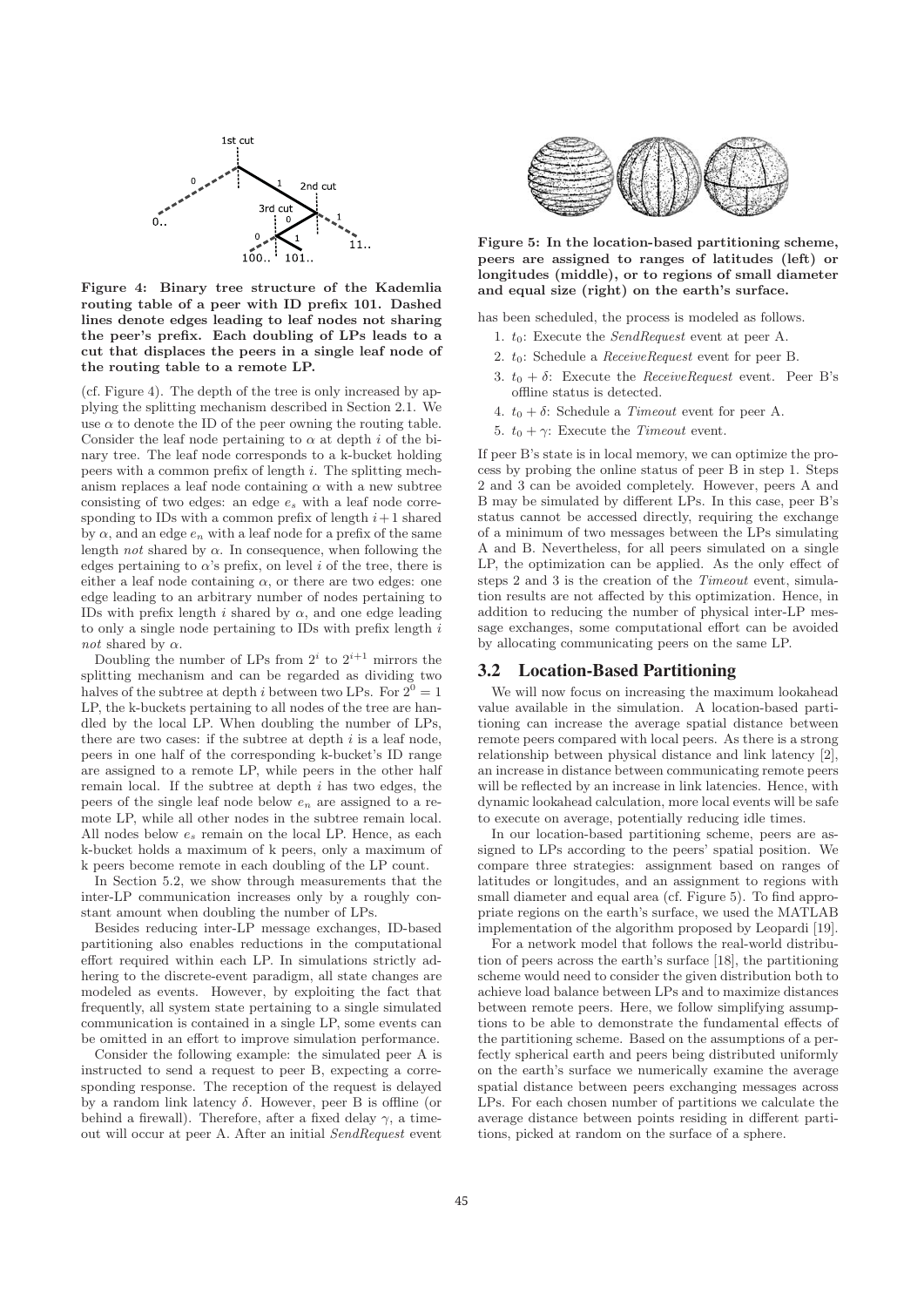

**Figure 4: Binary tree structure of the Kademlia routing table of a peer with ID prefix 101. Dashed lines denote edges leading to leaf nodes not sharing the peer's prefix. Each doubling of LPs leads to a cut that displaces the peers in a single leaf node of the routing table to a remote LP.**

(cf. Figure 4). The depth of the tree is only increased by applying the splitting mechanism described in Section 2.1. We use  $\alpha$  to denote the ID of the peer owning the routing table. Consider the leaf node pertaining to  $\alpha$  at depth i of the binary tree. The leaf node corresponds to a k-bucket holding peers with a common prefix of length  $i$ . The splitting mechanism replaces a leaf node containing  $\alpha$  with a new subtree consisting of two edges: an edge  $e_s$  with a leaf node corresponding to IDs with a common prefix of length  $i+1$  shared by  $\alpha$ , and an edge  $e_n$  with a leaf node for a prefix of the same length *not* shared by  $\alpha$ . In consequence, when following the edges pertaining to  $\alpha$ 's prefix, on level i of the tree, there is either a leaf node containing  $\alpha$ , or there are two edges: one edge leading to an arbitrary number of nodes pertaining to IDs with prefix length i shared by  $\alpha$ , and one edge leading to only a single node pertaining to IDs with prefix length  $i$ *not* shared by  $\alpha$ .

Doubling the number of LPs from  $2^i$  to  $2^{i+1}$  mirrors the splitting mechanism and can be regarded as dividing two halves of the subtree at depth *i* between two LPs. For  $2^0 = 1$ LP, the k-buckets pertaining to all nodes of the tree are handled by the local LP. When doubling the number of LPs, there are two cases: if the subtree at depth  $i$  is a leaf node, peers in one half of the corresponding k-bucket's ID range are assigned to a remote LP, while peers in the other half remain local. If the subtree at depth  $i$  has two edges, the peers of the single leaf node below  $e_n$  are assigned to a remote LP, while all other nodes in the subtree remain local. All nodes below e<sup>s</sup> remain on the local LP. Hence, as each k-bucket holds a maximum of k peers, only a maximum of k peers become remote in each doubling of the LP count.

In Section 5.2, we show through measurements that the inter-LP communication increases only by a roughly constant amount when doubling the number of LPs.

Besides reducing inter-LP message exchanges, ID-based partitioning also enables reductions in the computational effort required within each LP. In simulations strictly adhering to the discrete-event paradigm, all state changes are modeled as events. However, by exploiting the fact that frequently, all system state pertaining to a single simulated communication is contained in a single LP, some events can be omitted in an effort to improve simulation performance.

Consider the following example: the simulated peer A is instructed to send a request to peer B, expecting a corresponding response. The reception of the request is delayed by a random link latency  $\delta$ . However, peer B is offline (or behind a firewall). Therefore, after a fixed delay  $\gamma$ , a timeout will occur at peer A. After an initial SendRequest event



**Figure 5: In the location-based partitioning scheme, peers are assigned to ranges of latitudes (left) or longitudes (middle), or to regions of small diameter and equal size (right) on the earth's surface.**

has been scheduled, the process is modeled as follows.

- 1.  $t_0$ : Execute the *SendRequest* event at peer A.
- 2. t0: Schedule a ReceiveRequest event for peer B.
- 3.  $t_0 + \delta$ : Execute the *ReceiveRequest* event. Peer B's offline status is detected.
- 4.  $t_0 + \delta$ : Schedule a *Timeout* event for peer A.
- 5.  $t_0 + \gamma$ : Execute the *Timeout* event.

If peer B's state is in local memory, we can optimize the process by probing the online status of peer B in step 1. Steps 2 and 3 can be avoided completely. However, peers A and B may be simulated by different LPs. In this case, peer B's status cannot be accessed directly, requiring the exchange of a minimum of two messages between the LPs simulating A and B. Nevertheless, for all peers simulated on a single LP, the optimization can be applied. As the only effect of steps 2 and 3 is the creation of the Timeout event, simulation results are not affected by this optimization. Hence, in addition to reducing the number of physical inter-LP message exchanges, some computational effort can be avoided by allocating communicating peers on the same LP.

## 3.2 Location-Based Partitioning

We will now focus on increasing the maximum lookahead value available in the simulation. A location-based partitioning can increase the average spatial distance between remote peers compared with local peers. As there is a strong relationship between physical distance and link latency [2], an increase in distance between communicating remote peers will be reflected by an increase in link latencies. Hence, with dynamic lookahead calculation, more local events will be safe to execute on average, potentially reducing idle times.

In our location-based partitioning scheme, peers are assigned to LPs according to the peers' spatial position. We compare three strategies: assignment based on ranges of latitudes or longitudes, and an assignment to regions with small diameter and equal area (cf. Figure 5). To find appropriate regions on the earth's surface, we used the MATLAB implementation of the algorithm proposed by Leopardi [19].

For a network model that follows the real-world distribution of peers across the earth's surface [18], the partitioning scheme would need to consider the given distribution both to achieve load balance between LPs and to maximize distances between remote peers. Here, we follow simplifying assumptions to be able to demonstrate the fundamental effects of the partitioning scheme. Based on the assumptions of a perfectly spherical earth and peers being distributed uniformly on the earth's surface we numerically examine the average spatial distance between peers exchanging messages across LPs. For each chosen number of partitions we calculate the average distance between points residing in different partitions, picked at random on the surface of a sphere.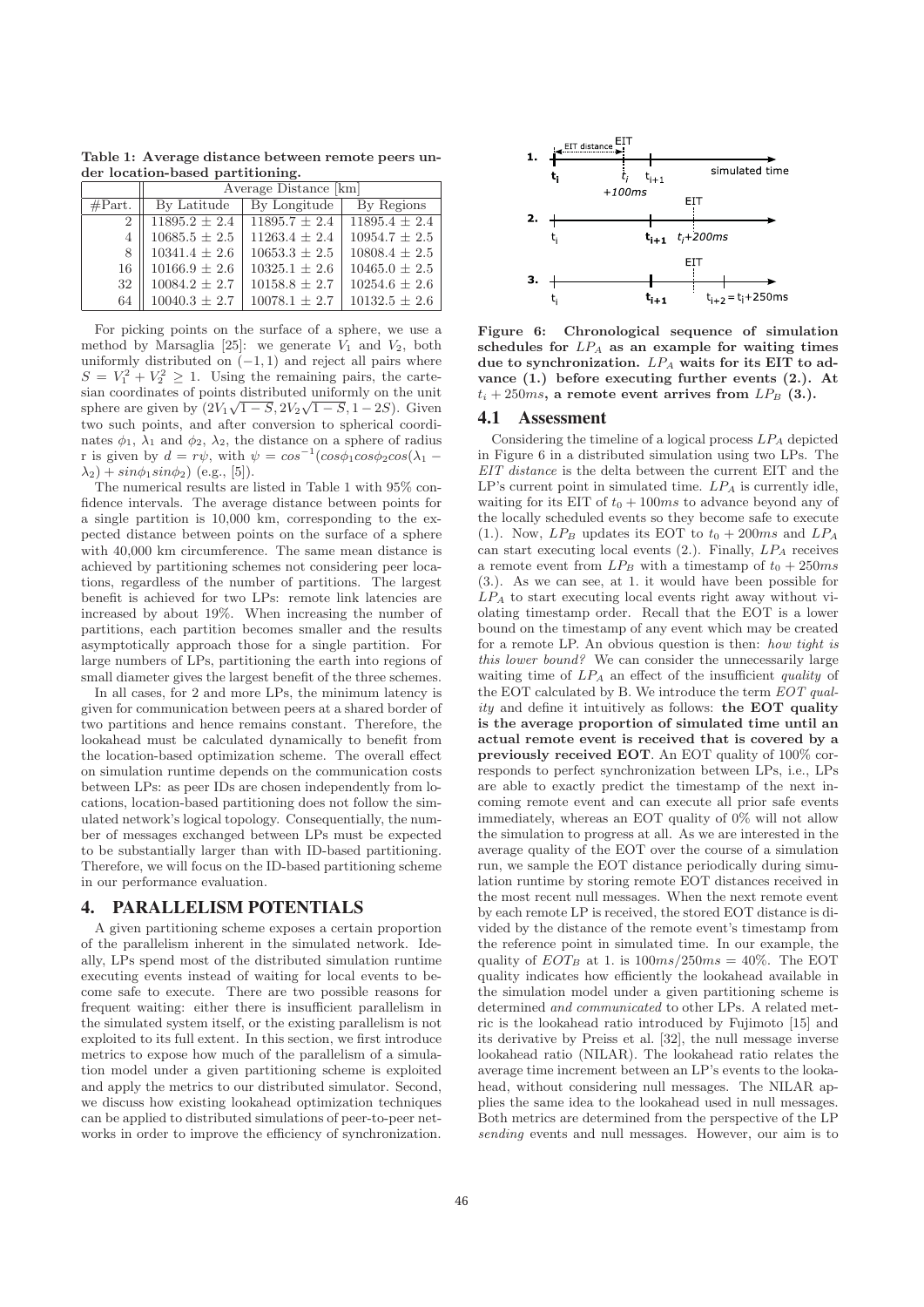**Table 1: Average distance between remote peers under location-based partitioning.**

|                  | Average Distance [km] |                   |                   |
|------------------|-----------------------|-------------------|-------------------|
| $\#\text{Part.}$ | By Latitude           | By Longitude      | By Regions        |
| $\overline{2}$   | $11895.2 \pm 2.4$     | $11895.7 \pm 2.4$ | $11895.4 \pm 2.4$ |
| 4                | $10685.5\,\pm\,2.5$   | $11263.4 \pm 2.4$ | $10954.7 \pm 2.5$ |
| 8                | $10341.4 \pm 2.6$     | $10653.3 \pm 2.5$ | $10808.4 \pm 2.5$ |
| 16               | $10166.9 \pm 2.6$     | $10325.1 \pm 2.6$ | $10465.0 \pm 2.5$ |
| 32               | $10084.2 \pm 2.7$     | $10158.8 \pm 2.7$ | $10254.6 \pm 2.6$ |
| 64               | $10040.3 \pm 2.7$     | $10078.1 \pm 2.7$ | $10132.5 \pm 2.6$ |

For picking points on the surface of a sphere, we use a method by Marsaglia [25]: we generate  $V_1$  and  $V_2$ , both uniformly distributed on  $(-1, 1)$  and reject all pairs where  $S = V_1^2 + V_2^2 \geq 1$ . Using the remaining pairs, the cartesian coordinates of points distributed uniformly on the unit sphere are given by  $(2V_1\sqrt{1-S}, 2V_2\sqrt{1-S}, 1-2S)$ . Given two such points, and after conversion to spherical coordinates  $\phi_1$ ,  $\lambda_1$  and  $\phi_2$ ,  $\lambda_2$ , the distance on a sphere of radius r is given by  $d = r\psi$ , with  $\psi = \cos^{-1}(\cos\phi_1\cos\phi_2\cos(\lambda_1 \lambda_2$ ) +  $\sin\phi_1 \sin\phi_2$ ) (e.g., [5]).

The numerical results are listed in Table 1 with 95% confidence intervals. The average distance between points for a single partition is 10,000 km, corresponding to the expected distance between points on the surface of a sphere with 40,000 km circumference. The same mean distance is achieved by partitioning schemes not considering peer locations, regardless of the number of partitions. The largest benefit is achieved for two LPs: remote link latencies are increased by about 19%. When increasing the number of partitions, each partition becomes smaller and the results asymptotically approach those for a single partition. For large numbers of LPs, partitioning the earth into regions of small diameter gives the largest benefit of the three schemes.

In all cases, for 2 and more LPs, the minimum latency is given for communication between peers at a shared border of two partitions and hence remains constant. Therefore, the lookahead must be calculated dynamically to benefit from the location-based optimization scheme. The overall effect on simulation runtime depends on the communication costs between LPs: as peer IDs are chosen independently from locations, location-based partitioning does not follow the simulated network's logical topology. Consequentially, the number of messages exchanged between LPs must be expected to be substantially larger than with ID-based partitioning. Therefore, we will focus on the ID-based partitioning scheme in our performance evaluation.

## 4. PARALLELISM POTENTIALS

A given partitioning scheme exposes a certain proportion of the parallelism inherent in the simulated network. Ideally, LPs spend most of the distributed simulation runtime executing events instead of waiting for local events to become safe to execute. There are two possible reasons for frequent waiting: either there is insufficient parallelism in the simulated system itself, or the existing parallelism is not exploited to its full extent. In this section, we first introduce metrics to expose how much of the parallelism of a simulation model under a given partitioning scheme is exploited and apply the metrics to our distributed simulator. Second, we discuss how existing lookahead optimization techniques can be applied to distributed simulations of peer-to-peer networks in order to improve the efficiency of synchronization.



**Figure 6: Chronological sequence of simulation schedules for** LP<sup>A</sup> **as an example for waiting times** due to synchronization.  $LP_A$  waits for its EIT to ad**vance (1.) before executing further events (2.). At**  $t_i + 250ms$ , a remote event arrives from  $LP_B$  (3.).

#### 4.1 Assessment

Considering the timeline of a logical process  $LP_A$  depicted in Figure 6 in a distributed simulation using two LPs. The EIT distance is the delta between the current EIT and the  $LP$ 's current point in simulated time.  $LP_A$  is currently idle, waiting for its EIT of  $t_0 + 100ms$  to advance beyond any of the locally scheduled events so they become safe to execute (1.). Now,  $LP_B$  updates its EOT to  $t_0 + 200ms$  and  $LP_A$ can start executing local events  $(2.)$ . Finally,  $LP_A$  receives a remote event from  $LP_B$  with a timestamp of  $t_0 + 250ms$ (3.). As we can see, at 1. it would have been possible for  $LP_A$  to start executing local events right away without violating timestamp order. Recall that the EOT is a lower bound on the timestamp of any event which may be created for a remote LP. An obvious question is then: how tight is this lower bound? We can consider the unnecessarily large waiting time of  $LP_A$  an effect of the insufficient quality of the EOT calculated by B. We introduce the term EOT quality and define it intuitively as follows: **the EOT quality is the average proportion of simulated time until an actual remote event is received that is covered by a previously received EOT**. An EOT quality of 100% corresponds to perfect synchronization between LPs, i.e., LPs are able to exactly predict the timestamp of the next incoming remote event and can execute all prior safe events immediately, whereas an EOT quality of 0% will not allow the simulation to progress at all. As we are interested in the average quality of the EOT over the course of a simulation run, we sample the EOT distance periodically during simulation runtime by storing remote EOT distances received in the most recent null messages. When the next remote event by each remote LP is received, the stored EOT distance is divided by the distance of the remote event's timestamp from the reference point in simulated time. In our example, the quality of  $EOT_B$  at 1. is  $100ms/250ms = 40\%$ . The EOT quality indicates how efficiently the lookahead available in the simulation model under a given partitioning scheme is determined and communicated to other LPs. A related metric is the lookahead ratio introduced by Fujimoto [15] and its derivative by Preiss et al. [32], the null message inverse lookahead ratio (NILAR). The lookahead ratio relates the average time increment between an LP's events to the lookahead, without considering null messages. The NILAR applies the same idea to the lookahead used in null messages. Both metrics are determined from the perspective of the LP sending events and null messages. However, our aim is to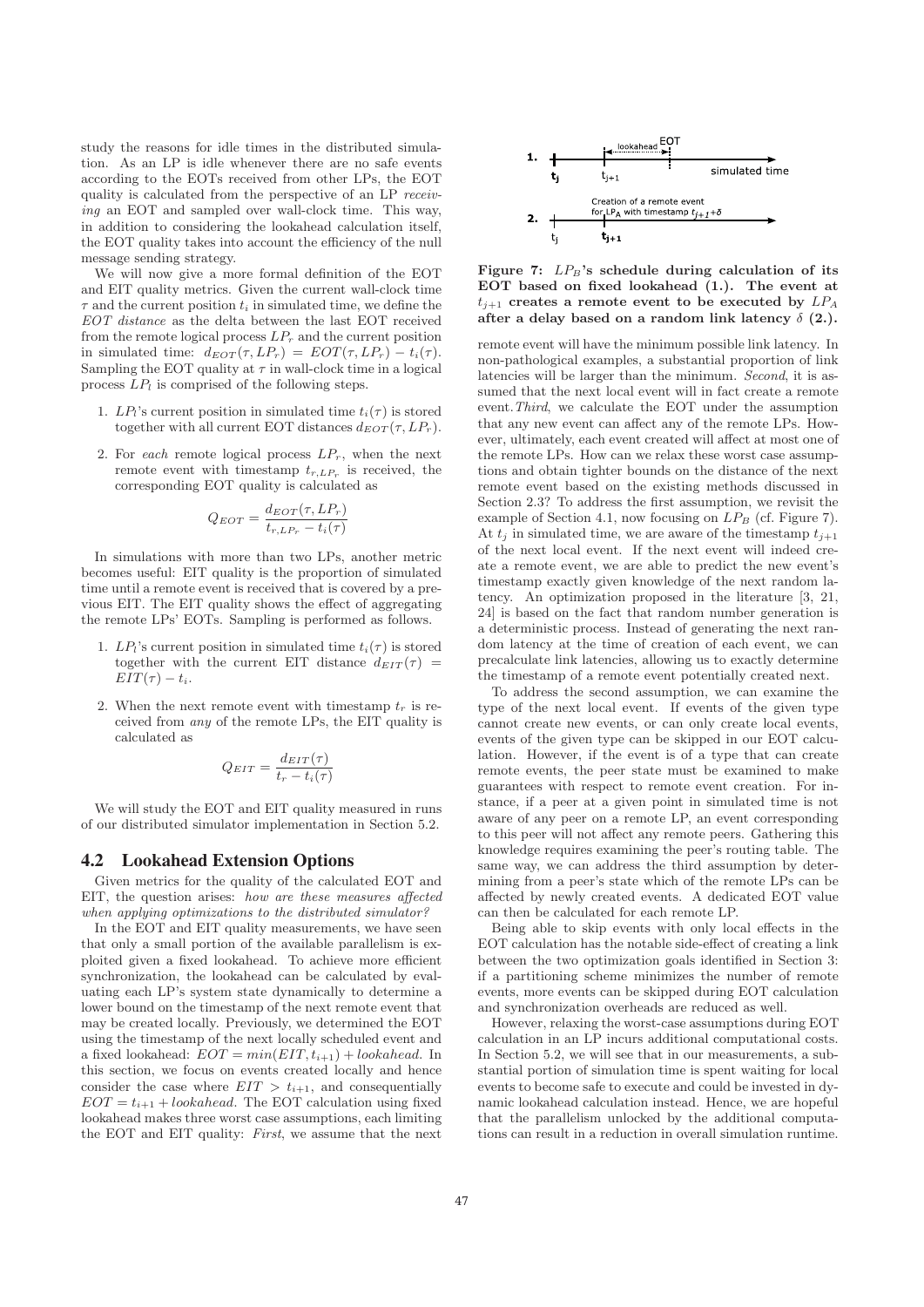study the reasons for idle times in the distributed simulation. As an LP is idle whenever there are no safe events according to the EOTs received from other LPs, the EOT quality is calculated from the perspective of an LP receiving an EOT and sampled over wall-clock time. This way, in addition to considering the lookahead calculation itself, the EOT quality takes into account the efficiency of the null message sending strategy.

We will now give a more formal definition of the EOT and EIT quality metrics. Given the current wall-clock time  $\tau$  and the current position  $t_i$  in simulated time, we define the EOT distance as the delta between the last EOT received from the remote logical process  $LP<sub>r</sub>$  and the current position in simulated time:  $d_{EOT}(\tau, LP_r) = EOT(\tau, LP_r) - t_i(\tau)$ . Sampling the EOT quality at  $\tau$  in wall-clock time in a logical process  $LP_l$  is comprised of the following steps.

- 1.  $LP_l$ 's current position in simulated time  $t_i(\tau)$  is stored together with all current EOT distances  $d_{EOT}(\tau, LP_r)$ .
- 2. For each remote logical process  $LP_r$ , when the next remote event with timestamp  $t_{r,LP_r}$  is received, the corresponding EOT quality is calculated as

$$
Q_{EOT} = \frac{d_{EOT}(\tau, LP_r)}{t_{r, LP_r} - t_i(\tau)}
$$

In simulations with more than two LPs, another metric becomes useful: EIT quality is the proportion of simulated time until a remote event is received that is covered by a previous EIT. The EIT quality shows the effect of aggregating the remote LPs' EOTs. Sampling is performed as follows.

- 1.  $LP_l$ 's current position in simulated time  $t_i(\tau)$  is stored together with the current EIT distance  $d_{EIT}(\tau)$  =  $EIT(\tau) - t_i$ .
- 2. When the next remote event with timestamp  $t_r$  is received from any of the remote LPs, the EIT quality is calculated as

$$
Q_{EIT} = \frac{d_{EIT}(\tau)}{t_r - t_i(\tau)}
$$

We will study the EOT and EIT quality measured in runs of our distributed simulator implementation in Section 5.2.

#### 4.2 Lookahead Extension Options

Given metrics for the quality of the calculated EOT and EIT, the question arises: how are these measures affected when applying optimizations to the distributed simulator?

In the EOT and EIT quality measurements, we have seen that only a small portion of the available parallelism is exploited given a fixed lookahead. To achieve more efficient synchronization, the lookahead can be calculated by evaluating each LP's system state dynamically to determine a lower bound on the timestamp of the next remote event that may be created locally. Previously, we determined the EOT using the timestamp of the next locally scheduled event and a fixed lookahead:  $EOT = min(EIT, t_{i+1}) + look ahead$ . In this section, we focus on events created locally and hence consider the case where  $EIT > t_{i+1}$ , and consequentially  $EOT = t_{i+1} + look ahead$ . The EOT calculation using fixed lookahead makes three worst case assumptions, each limiting the EOT and EIT quality: First, we assume that the next



Figure 7:  $LP_B$ 's schedule during calculation of its **EOT based on fixed lookahead (1.). The event at**  $t_{i+1}$  creates a remote event to be executed by  $LP_A$ **after a delay based on a random link latency** δ **(2.).**

remote event will have the minimum possible link latency. In non-pathological examples, a substantial proportion of link latencies will be larger than the minimum. Second, it is assumed that the next local event will in fact create a remote event.Third, we calculate the EOT under the assumption that any new event can affect any of the remote LPs. However, ultimately, each event created will affect at most one of the remote LPs. How can we relax these worst case assumptions and obtain tighter bounds on the distance of the next remote event based on the existing methods discussed in Section 2.3? To address the first assumption, we revisit the example of Section 4.1, now focusing on  $LP_B$  (cf. Figure 7). At  $t_j$  in simulated time, we are aware of the timestamp  $t_{j+1}$ of the next local event. If the next event will indeed create a remote event, we are able to predict the new event's timestamp exactly given knowledge of the next random latency. An optimization proposed in the literature [3, 21, 24] is based on the fact that random number generation is a deterministic process. Instead of generating the next random latency at the time of creation of each event, we can precalculate link latencies, allowing us to exactly determine the timestamp of a remote event potentially created next.

To address the second assumption, we can examine the type of the next local event. If events of the given type cannot create new events, or can only create local events, events of the given type can be skipped in our EOT calculation. However, if the event is of a type that can create remote events, the peer state must be examined to make guarantees with respect to remote event creation. For instance, if a peer at a given point in simulated time is not aware of any peer on a remote LP, an event corresponding to this peer will not affect any remote peers. Gathering this knowledge requires examining the peer's routing table. The same way, we can address the third assumption by determining from a peer's state which of the remote LPs can be affected by newly created events. A dedicated EOT value can then be calculated for each remote LP.

Being able to skip events with only local effects in the EOT calculation has the notable side-effect of creating a link between the two optimization goals identified in Section 3: if a partitioning scheme minimizes the number of remote events, more events can be skipped during EOT calculation and synchronization overheads are reduced as well.

However, relaxing the worst-case assumptions during EOT calculation in an LP incurs additional computational costs. In Section 5.2, we will see that in our measurements, a substantial portion of simulation time is spent waiting for local events to become safe to execute and could be invested in dynamic lookahead calculation instead. Hence, we are hopeful that the parallelism unlocked by the additional computations can result in a reduction in overall simulation runtime.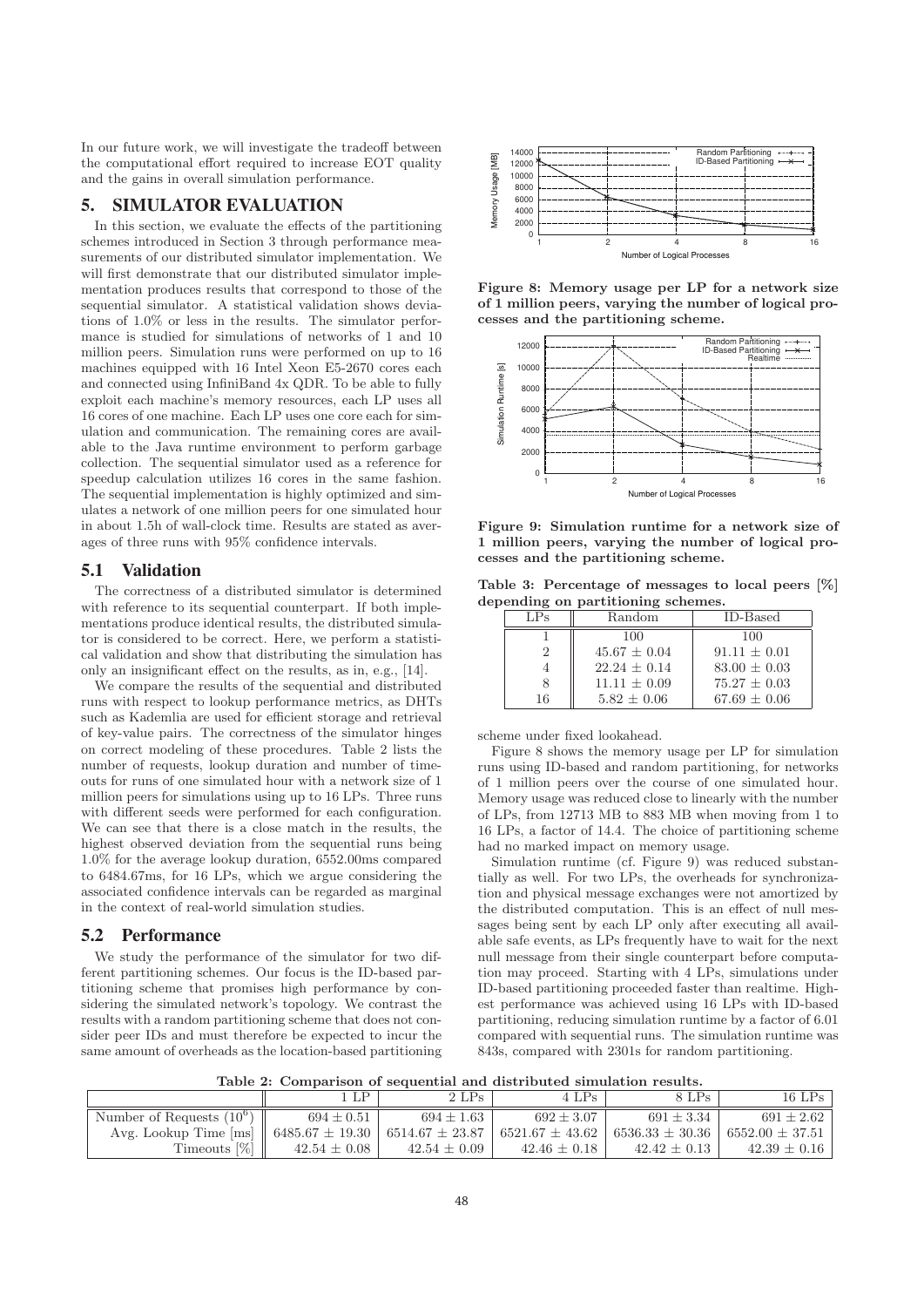In our future work, we will investigate the tradeoff between the computational effort required to increase EOT quality and the gains in overall simulation performance.

# 5. SIMULATOR EVALUATION

In this section, we evaluate the effects of the partitioning schemes introduced in Section 3 through performance measurements of our distributed simulator implementation. We will first demonstrate that our distributed simulator implementation produces results that correspond to those of the sequential simulator. A statistical validation shows deviations of 1.0% or less in the results. The simulator performance is studied for simulations of networks of 1 and 10 million peers. Simulation runs were performed on up to 16 machines equipped with 16 Intel Xeon E5-2670 cores each and connected using InfiniBand 4x QDR. To be able to fully exploit each machine's memory resources, each LP uses all 16 cores of one machine. Each LP uses one core each for simulation and communication. The remaining cores are available to the Java runtime environment to perform garbage collection. The sequential simulator used as a reference for speedup calculation utilizes 16 cores in the same fashion. The sequential implementation is highly optimized and simulates a network of one million peers for one simulated hour in about 1.5h of wall-clock time. Results are stated as averages of three runs with 95% confidence intervals.

### 5.1 Validation

The correctness of a distributed simulator is determined with reference to its sequential counterpart. If both implementations produce identical results, the distributed simulator is considered to be correct. Here, we perform a statistical validation and show that distributing the simulation has only an insignificant effect on the results, as in, e.g., [14].

We compare the results of the sequential and distributed runs with respect to lookup performance metrics, as DHTs such as Kademlia are used for efficient storage and retrieval of key-value pairs. The correctness of the simulator hinges on correct modeling of these procedures. Table 2 lists the number of requests, lookup duration and number of timeouts for runs of one simulated hour with a network size of 1 million peers for simulations using up to 16 LPs. Three runs with different seeds were performed for each configuration. We can see that there is a close match in the results, the highest observed deviation from the sequential runs being 1.0% for the average lookup duration, 6552.00ms compared to 6484.67ms, for 16 LPs, which we argue considering the associated confidence intervals can be regarded as marginal in the context of real-world simulation studies.

#### 5.2 Performance

We study the performance of the simulator for two different partitioning schemes. Our focus is the ID-based partitioning scheme that promises high performance by considering the simulated network's topology. We contrast the results with a random partitioning scheme that does not consider peer IDs and must therefore be expected to incur the same amount of overheads as the location-based partitioning



**Figure 8: Memory usage per LP for a network size of 1 million peers, varying the number of logical processes and the partitioning scheme.**



**Figure 9: Simulation runtime for a network size of 1 million peers, varying the number of logical processes and the partitioning scheme.**

**Table 3: Percentage of messages to local peers [%] depending on partitioning schemes.**

| LPs | Random          | <b>ID-Based</b>  |
|-----|-----------------|------------------|
|     | 100             | 100              |
| 2   | $45.67 + 0.04$  | $91.11 + 0.01$   |
|     | $22.24 + 0.14$  | $83.00 + 0.03$   |
|     | $11.11 + 0.09$  | $75.27 + 0.03$   |
| 16  | $5.82 \pm 0.06$ | $67.69 \pm 0.06$ |

scheme under fixed lookahead.

Figure 8 shows the memory usage per LP for simulation runs using ID-based and random partitioning, for networks of 1 million peers over the course of one simulated hour. Memory usage was reduced close to linearly with the number of LPs, from 12713 MB to 883 MB when moving from 1 to 16 LPs, a factor of 14.4. The choice of partitioning scheme had no marked impact on memory usage.

Simulation runtime (cf. Figure 9) was reduced substantially as well. For two LPs, the overheads for synchronization and physical message exchanges were not amortized by the distributed computation. This is an effect of null messages being sent by each LP only after executing all available safe events, as LPs frequently have to wait for the next null message from their single counterpart before computation may proceed. Starting with 4 LPs, simulations under ID-based partitioning proceeded faster than realtime. Highest performance was achieved using 16 LPs with ID-based partitioning, reducing simulation runtime by a factor of 6.01 compared with sequential runs. The simulation runtime was 843s, compared with 2301s for random partitioning.

**Table 2: Comparison of sequential and distributed simulation results.**

|                                                                                                                                      | <b>LP</b>        | 2 LPs            | 4 LPs          | 8 LPs            | $16$ LPs         |
|--------------------------------------------------------------------------------------------------------------------------------------|------------------|------------------|----------------|------------------|------------------|
| Number of Requests $(10^6)$                                                                                                          | $694 \pm 0.51$   | $694 + 1.63$     | $692 + 3.07$   | $691 + 3.34$     | $691 + 2.62$     |
| Avg. Lookup Time [ms]    $6485.67 \pm 19.30$   $6514.67 \pm 23.87$   $6521.67 \pm 43.62$   $6536.33 \pm 30.36$   $6552.00 \pm 37.51$ |                  |                  |                |                  |                  |
| Timeouts $[\%]$                                                                                                                      | $42.54 \pm 0.08$ | $42.54 \pm 0.09$ | $42.46 + 0.18$ | $42.42 \pm 0.13$ | $42.39 \pm 0.16$ |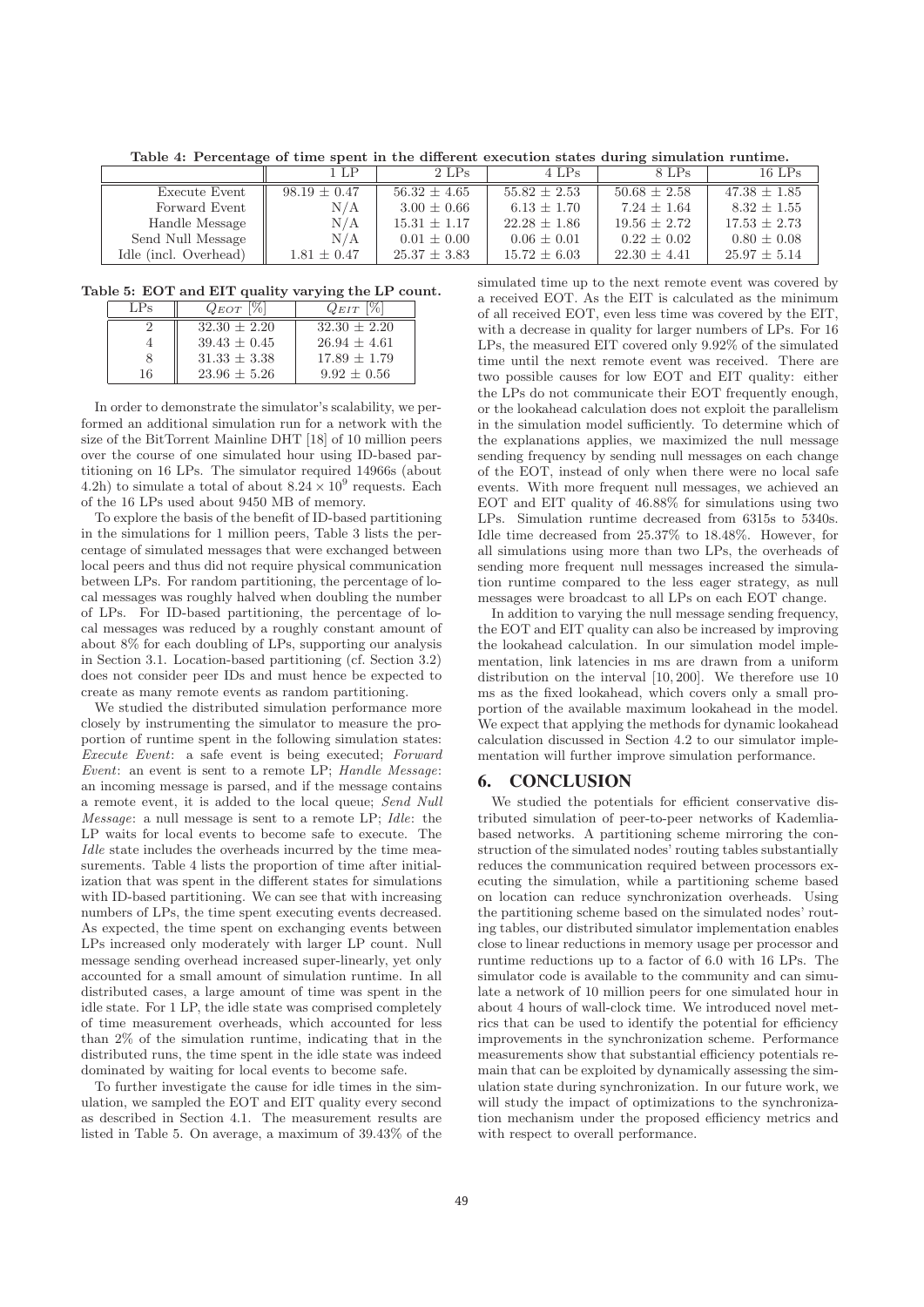**Table 4: Percentage of time spent in the different execution states during simulation runtime.**

| 1 LP             | 2 LPs            | 4 LPs            | 8 LPs            | $16$ LPs         |
|------------------|------------------|------------------|------------------|------------------|
| $98.19 \pm 0.47$ | $56.32 \pm 4.65$ | $55.82 + 2.53$   | $50.68 \pm 2.58$ | $47.38 \pm 1.85$ |
| N/A              | $3.00 + 0.66$    | $6.13 + 1.70$    | $7.24 + 1.64$    | $8.32 + 1.55$    |
| N/A              | $15.31 + 1.17$   | $22.28 + 1.86$   | $19.56 + 2.72$   | $17.53 \pm 2.73$ |
| N/A              | $0.01 \pm 0.00$  | $0.06 \pm 0.01$  | $0.22 \pm 0.02$  | $0.80 \pm 0.08$  |
| $1.81 \pm 0.47$  | $25.37 \pm 3.83$ | $15.72 \pm 6.03$ | $22.30 \pm 4.41$ | $25.97 \pm 5.14$ |
|                  |                  |                  |                  |                  |

**Table 5: EOT and EIT quality varying the LP count.**

| LPs | $Q_{EOT}$  %   | $Q_{EIT}$  %   |
|-----|----------------|----------------|
|     | $32.30 + 2.20$ | $32.30 + 2.20$ |
|     | $39.43 + 0.45$ | $26.94 + 4.61$ |
|     | $31.33 + 3.38$ | $17.89 + 1.79$ |
| 16  | $23.96 + 5.26$ | $9.92 + 0.56$  |

In order to demonstrate the simulator's scalability, we performed an additional simulation run for a network with the size of the BitTorrent Mainline DHT [18] of 10 million peers over the course of one simulated hour using ID-based partitioning on 16 LPs. The simulator required 14966s (about 4.2h) to simulate a total of about  $8.24 \times 10^9$  requests. Each of the 16 LPs used about 9450 MB of memory.

To explore the basis of the benefit of ID-based partitioning in the simulations for 1 million peers, Table 3 lists the percentage of simulated messages that were exchanged between local peers and thus did not require physical communication between LPs. For random partitioning, the percentage of local messages was roughly halved when doubling the number of LPs. For ID-based partitioning, the percentage of local messages was reduced by a roughly constant amount of about 8% for each doubling of LPs, supporting our analysis in Section 3.1. Location-based partitioning (cf. Section 3.2) does not consider peer IDs and must hence be expected to create as many remote events as random partitioning.

We studied the distributed simulation performance more closely by instrumenting the simulator to measure the proportion of runtime spent in the following simulation states: Execute Event: a safe event is being executed; Forward Event: an event is sent to a remote LP; Handle Message: an incoming message is parsed, and if the message contains a remote event, it is added to the local queue; Send Null Message: a null message is sent to a remote LP; Idle: the LP waits for local events to become safe to execute. The Idle state includes the overheads incurred by the time measurements. Table 4 lists the proportion of time after initialization that was spent in the different states for simulations with ID-based partitioning. We can see that with increasing numbers of LPs, the time spent executing events decreased. As expected, the time spent on exchanging events between LPs increased only moderately with larger LP count. Null message sending overhead increased super-linearly, yet only accounted for a small amount of simulation runtime. In all distributed cases, a large amount of time was spent in the idle state. For 1 LP, the idle state was comprised completely of time measurement overheads, which accounted for less than 2% of the simulation runtime, indicating that in the distributed runs, the time spent in the idle state was indeed dominated by waiting for local events to become safe.

To further investigate the cause for idle times in the simulation, we sampled the EOT and EIT quality every second as described in Section 4.1. The measurement results are listed in Table 5. On average, a maximum of 39.43% of the simulated time up to the next remote event was covered by a received EOT. As the EIT is calculated as the minimum of all received EOT, even less time was covered by the EIT, with a decrease in quality for larger numbers of LPs. For 16 LPs, the measured EIT covered only 9.92% of the simulated time until the next remote event was received. There are two possible causes for low EOT and EIT quality: either the LPs do not communicate their EOT frequently enough, or the lookahead calculation does not exploit the parallelism in the simulation model sufficiently. To determine which of the explanations applies, we maximized the null message sending frequency by sending null messages on each change of the EOT, instead of only when there were no local safe events. With more frequent null messages, we achieved an EOT and EIT quality of 46.88% for simulations using two LPs. Simulation runtime decreased from 6315s to 5340s. Idle time decreased from 25.37% to 18.48%. However, for all simulations using more than two LPs, the overheads of sending more frequent null messages increased the simulation runtime compared to the less eager strategy, as null messages were broadcast to all LPs on each EOT change.

In addition to varying the null message sending frequency, the EOT and EIT quality can also be increased by improving the lookahead calculation. In our simulation model implementation, link latencies in ms are drawn from a uniform distribution on the interval [10, 200]. We therefore use 10 ms as the fixed lookahead, which covers only a small proportion of the available maximum lookahead in the model. We expect that applying the methods for dynamic lookahead calculation discussed in Section 4.2 to our simulator implementation will further improve simulation performance.

#### 6. CONCLUSION

We studied the potentials for efficient conservative distributed simulation of peer-to-peer networks of Kademliabased networks. A partitioning scheme mirroring the construction of the simulated nodes' routing tables substantially reduces the communication required between processors executing the simulation, while a partitioning scheme based on location can reduce synchronization overheads. Using the partitioning scheme based on the simulated nodes' routing tables, our distributed simulator implementation enables close to linear reductions in memory usage per processor and runtime reductions up to a factor of 6.0 with 16 LPs. The simulator code is available to the community and can simulate a network of 10 million peers for one simulated hour in about 4 hours of wall-clock time. We introduced novel metrics that can be used to identify the potential for efficiency improvements in the synchronization scheme. Performance measurements show that substantial efficiency potentials remain that can be exploited by dynamically assessing the simulation state during synchronization. In our future work, we will study the impact of optimizations to the synchronization mechanism under the proposed efficiency metrics and with respect to overall performance.